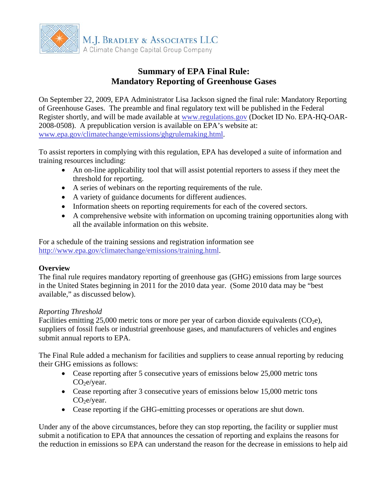

# **Summary of EPA Final Rule: Mandatory Reporting of Greenhouse Gases**

On September 22, 2009, EPA Administrator Lisa Jackson signed the final rule: Mandatory Reporting of Greenhouse Gases. The preamble and final regulatory text will be published in the Federal Register shortly, and will be made available at [www.regulations.gov](http://www.regulations.gov/) (Docket ID No. EPA-HQ-OAR-2008-0508). A prepublication version is available on EPA's website at: [www.epa.gov/climatechange/emissions/ghgrulemaking.html](http://www.epa.gov/climatechange/emissions/ghgrulemaking.html).

To assist reporters in complying with this regulation, EPA has developed a suite of information and training resources including:

- An on-line applicability tool that will assist potential reporters to assess if they meet the threshold for reporting.
- A series of webinars on the reporting requirements of the rule.
- A variety of guidance documents for different audiences.
- Information sheets on reporting requirements for each of the covered sectors.
- A comprehensive website with information on upcoming training opportunities along with all the available information on this website.

For a schedule of the training sessions and registration information see [http://www.epa.gov/climatechange/emissions/training.html.](http://www.epa.gov/climatechange/emissions/training.html)

## **Overview**

The final rule requires mandatory reporting of greenhouse gas (GHG) emissions from large sources in the United States beginning in 2011 for the 2010 data year. (Some 2010 data may be "best available," as discussed below).

## *Reporting Threshold*

Facilities emitting 25,000 metric tons or more per year of carbon dioxide equivalents  $(CO<sub>2</sub>e)$ , suppliers of fossil fuels or industrial greenhouse gases, and manufacturers of vehicles and engines submit annual reports to EPA.

The Final Rule added a mechanism for facilities and suppliers to cease annual reporting by reducing their GHG emissions as follows:

- Cease reporting after 5 consecutive years of emissions below 25,000 metric tons  $CO<sub>2</sub>e/year.$
- Cease reporting after 3 consecutive years of emissions below 15,000 metric tons  $CO<sub>2</sub>e/year.$
- Cease reporting if the GHG-emitting processes or operations are shut down.

Under any of the above circumstances, before they can stop reporting, the facility or supplier must submit a notification to EPA that announces the cessation of reporting and explains the reasons for the reduction in emissions so EPA can understand the reason for the decrease in emissions to help aid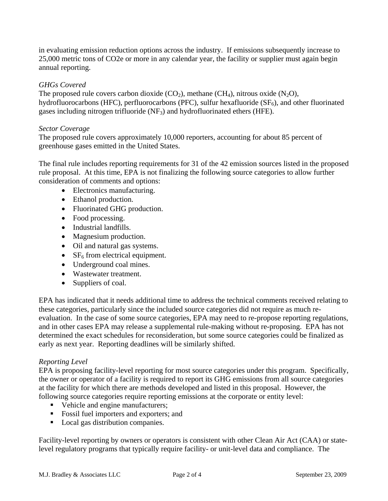in evaluating emission reduction options across the industry. If emissions subsequently increase to 25,000 metric tons of CO2e or more in any calendar year, the facility or supplier must again begin annual reporting.

## *GHGs Covered*

The proposed rule covers carbon dioxide  $(CO_2)$ , methane  $(CH_4)$ , nitrous oxide  $(N_2O)$ , hydrofluorocarbons (HFC), perfluorocarbons (PFC), sulfur hexafluoride  $(SF_6)$ , and other fluorinated gases including nitrogen trifluoride (NF3) and hydrofluorinated ethers (HFE).

## *Sector Coverage*

The proposed rule covers approximately 10,000 reporters, accounting for about 85 percent of greenhouse gases emitted in the United States.

The final rule includes reporting requirements for 31 of the 42 emission sources listed in the proposed rule proposal. At this time, EPA is not finalizing the following source categories to allow further consideration of comments and options:

- Electronics manufacturing.
- Ethanol production.
- Fluorinated GHG production.
- Food processing.
- Industrial landfills.
- Magnesium production.
- Oil and natural gas systems.
- $SF<sub>6</sub>$  from electrical equipment.
- Underground coal mines.
- Wastewater treatment.
- Suppliers of coal.

EPA has indicated that it needs additional time to address the technical comments received relating to these categories, particularly since the included source categories did not require as much reevaluation. In the case of some source categories, EPA may need to re-propose reporting regulations, and in other cases EPA may release a supplemental rule-making without re-proposing. EPA has not determined the exact schedules for reconsideration, but some source categories could be finalized as early as next year. Reporting deadlines will be similarly shifted.

## *Reporting Level*

EPA is proposing facility-level reporting for most source categories under this program. Specifically, the owner or operator of a facility is required to report its GHG emissions from all source categories at the facility for which there are methods developed and listed in this proposal. However, the following source categories require reporting emissions at the corporate or entity level:

- Vehicle and engine manufacturers;
- Fossil fuel importers and exporters; and
- Local gas distribution companies.

Facility-level reporting by owners or operators is consistent with other Clean Air Act (CAA) or statelevel regulatory programs that typically require facility- or unit-level data and compliance. The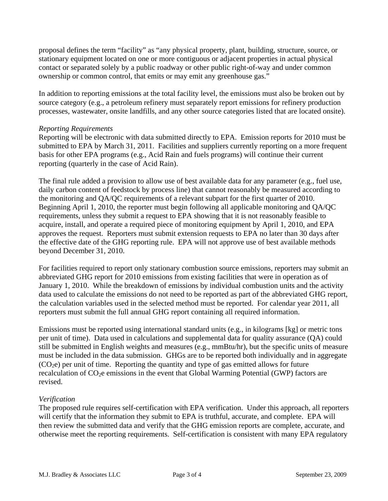proposal defines the term "facility" as "any physical property, plant, building, structure, source, or stationary equipment located on one or more contiguous or adjacent properties in actual physical contact or separated solely by a public roadway or other public right-of-way and under common ownership or common control, that emits or may emit any greenhouse gas."

In addition to reporting emissions at the total facility level, the emissions must also be broken out by source category (e.g., a petroleum refinery must separately report emissions for refinery production processes, wastewater, onsite landfills, and any other source categories listed that are located onsite).

#### *Reporting Requirements*

Reporting will be electronic with data submitted directly to EPA. Emission reports for 2010 must be submitted to EPA by March 31, 2011. Facilities and suppliers currently reporting on a more frequent basis for other EPA programs (e.g., Acid Rain and fuels programs) will continue their current reporting (quarterly in the case of Acid Rain).

The final rule added a provision to allow use of best available data for any parameter (e.g., fuel use, daily carbon content of feedstock by process line) that cannot reasonably be measured according to the monitoring and QA/QC requirements of a relevant subpart for the first quarter of 2010. Beginning April 1, 2010, the reporter must begin following all applicable monitoring and QA/QC requirements, unless they submit a request to EPA showing that it is not reasonably feasible to acquire, install, and operate a required piece of monitoring equipment by April 1, 2010, and EPA approves the request. Reporters must submit extension requests to EPA no later than 30 days after the effective date of the GHG reporting rule. EPA will not approve use of best available methods beyond December 31, 2010.

For facilities required to report only stationary combustion source emissions, reporters may submit an abbreviated GHG report for 2010 emissions from existing facilities that were in operation as of January 1, 2010. While the breakdown of emissions by individual combustion units and the activity data used to calculate the emissions do not need to be reported as part of the abbreviated GHG report, the calculation variables used in the selected method must be reported. For calendar year 2011, all reporters must submit the full annual GHG report containing all required information.

Emissions must be reported using international standard units (e.g., in kilograms [kg] or metric tons per unit of time). Data used in calculations and supplemental data for quality assurance (QA) could still be submitted in English weights and measures (e.g., mmBtu/hr), but the specific units of measure must be included in the data submission. GHGs are to be reported both individually and in aggregate  $(CO<sub>2</sub>e)$  per unit of time. Reporting the quantity and type of gas emitted allows for future recalculation of  $CO<sub>2</sub>e$  emissions in the event that Global Warming Potential (GWP) factors are revised.

## *Verification*

The proposed rule requires self-certification with EPA verification. Under this approach, all reporters will certify that the information they submit to EPA is truthful, accurate, and complete. EPA will then review the submitted data and verify that the GHG emission reports are complete, accurate, and otherwise meet the reporting requirements. Self-certification is consistent with many EPA regulatory